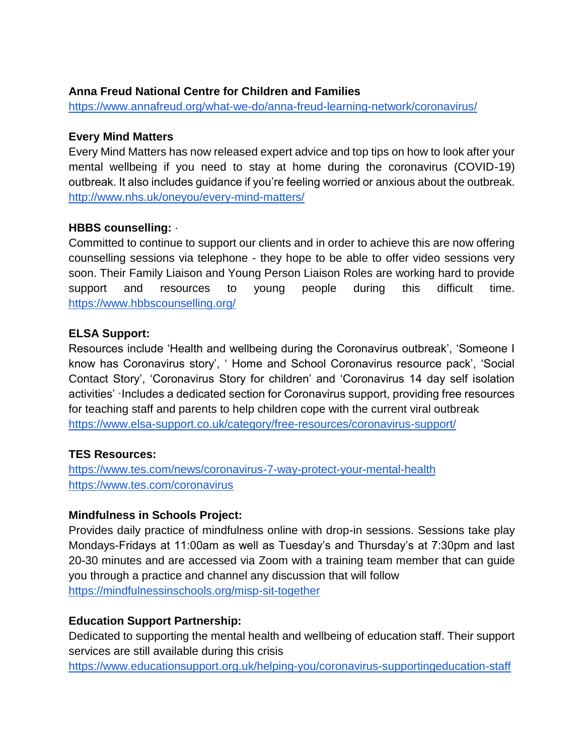# **Anna Freud National Centre for Children and Families**

<https://www.annafreud.org/what-we-do/anna-freud-learning-network/coronavirus/>

#### **Every Mind Matters**

Every Mind Matters has now released expert advice and top tips on how to look after your mental wellbeing if you need to stay at home during the coronavirus (COVID-19) outbreak. It also includes guidance if you're feeling worried or anxious about the outbreak. <http://www.nhs.uk/oneyou/every-mind-matters/>

# **HBBS counselling:** ·

Committed to continue to support our clients and in order to achieve this are now offering counselling sessions via telephone - they hope to be able to offer video sessions very soon. Their Family Liaison and Young Person Liaison Roles are working hard to provide support and resources to young people during this difficult time. <https://www.hbbscounselling.org/>

#### **ELSA Support:**

Resources include 'Health and wellbeing during the Coronavirus outbreak', 'Someone I know has Coronavirus story', ' Home and School Coronavirus resource pack', 'Social Contact Story', 'Coronavirus Story for children' and 'Coronavirus 14 day self isolation activities' ·Includes a dedicated section for Coronavirus support, providing free resources for teaching staff and parents to help children cope with the current viral outbreak <https://www.elsa-support.co.uk/category/free-resources/coronavirus-support/>

# **TES Resources:**

<https://www.tes.com/news/coronavirus-7-way-protect-your-mental-health> <https://www.tes.com/coronavirus>

# **Mindfulness in Schools Project:**

Provides daily practice of mindfulness online with drop-in sessions. Sessions take play Mondays-Fridays at 11:00am as well as Tuesday's and Thursday's at 7:30pm and last 20-30 minutes and are accessed via Zoom with a training team member that can guide you through a practice and channel any discussion that will follow <https://mindfulnessinschools.org/misp-sit-together>

# **Education Support Partnership:**

Dedicated to supporting the mental health and wellbeing of education staff. Their support services are still available during this crisis

<https://www.educationsupport.org.uk/helping-you/coronavirus-supportingeducation-staff>